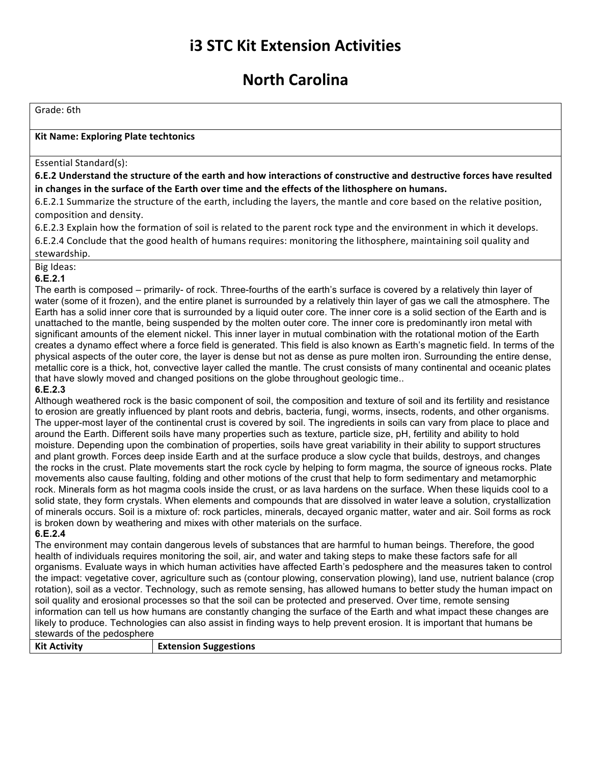# **i3 STC Kit Extension Activities**

## **North Carolina**

Grade: 6th

## **Kit Name: Exploring Plate techtonics**

### Essential Standard(s):

6.E.2 Understand the structure of the earth and how interactions of constructive and destructive forces have resulted in changes in the surface of the Earth over time and the effects of the lithosphere on humans.

6.E.2.1 Summarize the structure of the earth, including the layers, the mantle and core based on the relative position, composition and density.

6.E.2.3 Explain how the formation of soil is related to the parent rock type and the environment in which it develops. 6.E.2.4 Conclude that the good health of humans requires: monitoring the lithosphere, maintaining soil quality and stewardship.

### Big Ideas: **6.E.2.1**

The earth is composed – primarily- of rock. Three-fourths of the earth's surface is covered by a relatively thin layer of water (some of it frozen), and the entire planet is surrounded by a relatively thin layer of gas we call the atmosphere. The Earth has a solid inner core that is surrounded by a liquid outer core. The inner core is a solid section of the Earth and is unattached to the mantle, being suspended by the molten outer core. The inner core is predominantly iron metal with significant amounts of the element nickel. This inner layer in mutual combination with the rotational motion of the Earth creates a dynamo effect where a force field is generated. This field is also known as Earth's magnetic field. In terms of the physical aspects of the outer core, the layer is dense but not as dense as pure molten iron. Surrounding the entire dense, metallic core is a thick, hot, convective layer called the mantle. The crust consists of many continental and oceanic plates that have slowly moved and changed positions on the globe throughout geologic time..

### **6.E.2.3**

Although weathered rock is the basic component of soil, the composition and texture of soil and its fertility and resistance to erosion are greatly influenced by plant roots and debris, bacteria, fungi, worms, insects, rodents, and other organisms. The upper-most layer of the continental crust is covered by soil. The ingredients in soils can vary from place to place and around the Earth. Different soils have many properties such as texture, particle size, pH, fertility and ability to hold moisture. Depending upon the combination of properties, soils have great variability in their ability to support structures and plant growth. Forces deep inside Earth and at the surface produce a slow cycle that builds, destroys, and changes the rocks in the crust. Plate movements start the rock cycle by helping to form magma, the source of igneous rocks. Plate movements also cause faulting, folding and other motions of the crust that help to form sedimentary and metamorphic rock. Minerals form as hot magma cools inside the crust, or as lava hardens on the surface. When these liquids cool to a solid state, they form crystals. When elements and compounds that are dissolved in water leave a solution, crystallization of minerals occurs. Soil is a mixture of: rock particles, minerals, decayed organic matter, water and air. Soil forms as rock is broken down by weathering and mixes with other materials on the surface. **6.E.2.4**

The environment may contain dangerous levels of substances that are harmful to human beings. Therefore, the good health of individuals requires monitoring the soil, air, and water and taking steps to make these factors safe for all organisms. Evaluate ways in which human activities have affected Earth's pedosphere and the measures taken to control the impact: vegetative cover, agriculture such as (contour plowing, conservation plowing), land use, nutrient balance (crop rotation), soil as a vector. Technology, such as remote sensing, has allowed humans to better study the human impact on soil quality and erosional processes so that the soil can be protected and preserved. Over time, remote sensing information can tell us how humans are constantly changing the surface of the Earth and what impact these changes are likely to produce. Technologies can also assist in finding ways to help prevent erosion. It is important that humans be stewards of the pedosphere

| <b>Kit Activity</b> | <b>Extension Suggestions</b> |
|---------------------|------------------------------|
|                     |                              |